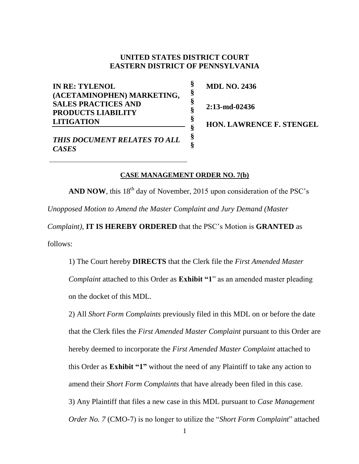## **UNITED STATES DISTRICT COURT EASTERN DISTRICT OF PENNSYLVANIA**

**§ § § § § § § §**

**IN RE: TYLENOL (ACETAMINOPHEN) MARKETING, SALES PRACTICES AND PRODUCTS LIABILITY LITIGATION**

**MDL NO. 2436**

**2:13-md-02436**

**HON. LAWRENCE F. STENGEL** 

*THIS DOCUMENT RELATES TO ALL CASES*

## **CASE MANAGEMENT ORDER NO. 7(b)**

**AND NOW**, this  $18<sup>th</sup>$  day of November, 2015 upon consideration of the PSC's *Unopposed Motion to Amend the Master Complaint and Jury Demand (Master* 

*Complaint)*, **IT IS HEREBY ORDERED** that the PSC's Motion is **GRANTED** as follows:

1) The Court hereby **DIRECTS** that the Clerk file the *First Amended Master Complaint* attached to this Order as **Exhibit "1**" as an amended master pleading on the docket of this MDL.

2) All *Short Form Complaints* previously filed in this MDL on or before the date that the Clerk files the *First Amended Master Complaint* pursuant to this Order are hereby deemed to incorporate the *First Amended Master Complaint* attached to this Order as **Exhibit "1"** without the need of any Plaintiff to take any action to amend their *Short Form Complaints* that have already been filed in this case. 3) Any Plaintiff that files a new case in this MDL pursuant to *Case Management Order No. 7* (CMO-7) is no longer to utilize the "*Short Form Complaint*" attached